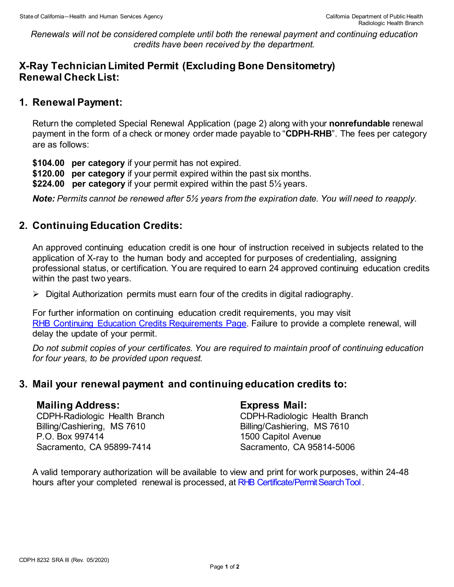*Renewals will not be considered complete until both the renewal payment and continuing education credits have been received by the department.* 

## **X-Ray Technician Limited Permit (Excluding Bone Densitometry) Renewal Check List:**

## **1. Renewal Payment:**

Return the completed Special Renewal Application (page 2) along with your **nonrefundable** renewal payment in the form of a check or money order made payable to "**CDPH-RHB**". The fees per category are as follows:

- **\$104.00 per category** if your permit has not expired.
- **\$120.00 per category** if your permit expired within the past six months.
- **\$224.00 per category** if your permit expired within the past 5½ years.

*Note: Permits cannot be renewed after 5½ years from the expiration date. You will need to reapply.* 

## **2. Continuing Education Credits:**

An approved continuing education credit is one hour of instruction received in subjects related to the application of X-ray to the human body and accepted for purposes of credentialing, assigning professional status, or certification. You are required to earn 24 approved continuing education credits within the past two years.

 $\triangleright$  Digital Authorization permits must earn four of the credits in digital radiography.

For further information on continuing education credit requirements, you may visit [RHB Continuing Education Credits Requirements Page.](https://www.cdph.ca.gov/Programs/CEH/DRSEM/CDPH%20Document%20Library/RHB/Certification/RHB-CEC-Renewal.pdf) Failure to provide a complete renewal, will delay the update of your permit.

*Do not submit copies of your certificates. You are required to maintain proof of continuing education for four years, to be provided upon request.* 

### **3. Mail your renewal payment and continuing education credits to:**

#### **Mailing Address:**

CDPH-Radiologic Health Branch Billing/Cashiering, MS 7610 P.O. Box 997414 Sacramento, CA 95899-7414

#### **Express Mail:**

CDPH-Radiologic Health Branch Billing/Cashiering, MS 7610 1500 Capitol Avenue Sacramento, CA 95814-5006

A valid temporary authorization will be available to view and print for work purposes, within 24-48 hours after your completed renewal is processed, at RHB Certificate/Permit Search Tool.